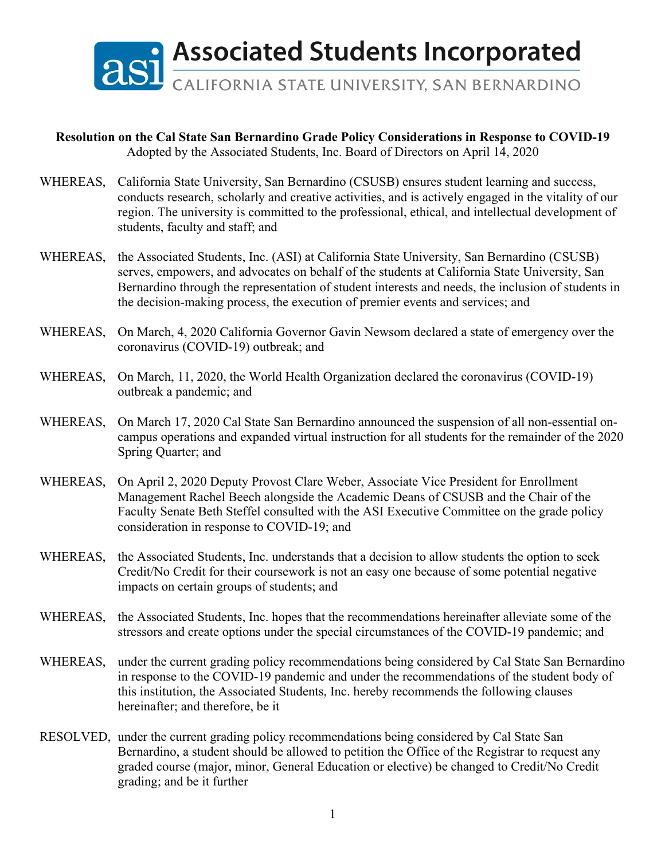

## **Resolution on the Cal State San Bernardino Grade Policy Considerations in Response to COVID-19** Adopted by the Associated Students, Inc. Board of Directors on April 14, 2020

- WHEREAS, California State University, San Bernardino (CSUSB) ensures student learning and success, conducts research, scholarly and creative activities, and is actively engaged in the vitality of our region. The university is committed to the professional, ethical, and intellectual development of students, faculty and staff; and
- WHEREAS, the Associated Students, Inc. (ASI) at California State University, San Bernardino (CSUSB) serves, empowers, and advocates on behalf of the students at California State University, San Bernardino through the representation of student interests and needs, the inclusion of students in the decision-making process, the execution of premier events and services; and
- WHEREAS, On March, 4, 2020 California Governor Gavin Newsom declared a state of emergency over the coronavirus (COVID-19) outbreak; and
- WHEREAS, On March, 11, 2020, the World Health Organization declared the coronavirus (COVID-19) outbreak a pandemic; and
- WHEREAS, On March 17, 2020 Cal State San Bernardino announced the suspension of all non-essential oncampus operations and expanded virtual instruction for all students for the remainder of the 2020 Spring Quarter; and
- WHEREAS, On April 2, 2020 Deputy Provost Clare Weber, Associate Vice President for Enrollment Management Rachel Beech alongside the Academic Deans of CSUSB and the Chair of the Faculty Senate Beth Steffel consulted with the ASI Executive Committee on the grade policy consideration in response to COVID-19; and
- WHEREAS, the Associated Students, Inc. understands that a decision to allow students the option to seek Credit/No Credit for their coursework is not an easy one because of some potential negative impacts on certain groups of students; and
- WHEREAS, the Associated Students, Inc. hopes that the recommendations hereinafter alleviate some of the stressors and create options under the special circumstances of the COVID-19 pandemic; and
- WHEREAS, under the current grading policy recommendations being considered by Cal State San Bernardino in response to the COVID-19 pandemic and under the recommendations of the student body of this institution, the Associated Students, Inc. hereby recommends the following clauses hereinafter; and therefore, be it
- RESOLVED, under the current grading policy recommendations being considered by Cal State San Bernardino, a student should be allowed to petition the Office of the Registrar to request any graded course (major, minor, General Education or elective) be changed to Credit/No Credit grading; and be it further